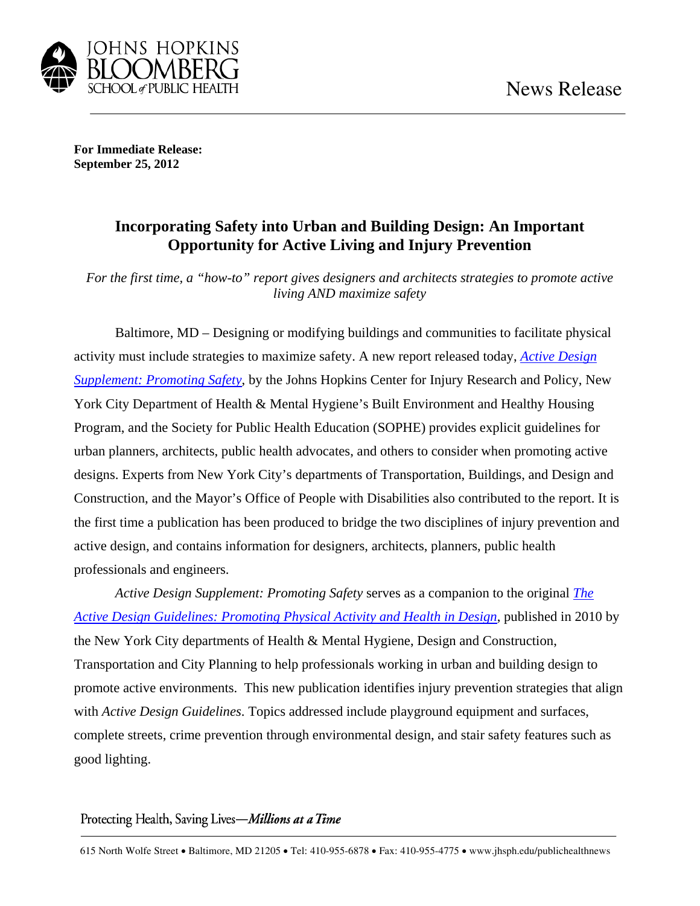

**For Immediate Release: September 25, 2012** 

## **Incorporating Safety into Urban and Building Design: An Important Opportunity for Active Living and Injury Prevention**

*For the first time, a "how-to" report gives designers and architects strategies to promote active living AND maximize safety* 

Baltimore, MD – Designing or modifying buildings and communities to facilitate physical activity must include strategies to maximize safety. A new report released today, *Active Design Supplement: Promoting Safety*, by the Johns Hopkins Center for Injury Research and Policy, New York City Department of Health & Mental Hygiene's Built Environment and Healthy Housing Program, and the Society for Public Health Education (SOPHE) provides explicit guidelines for urban planners, architects, public health advocates, and others to consider when promoting active designs. Experts from New York City's departments of Transportation, Buildings, and Design and Construction, and the Mayor's Office of People with Disabilities also contributed to the report. It is the first time a publication has been produced to bridge the two disciplines of injury prevention and active design, and contains information for designers, architects, planners, public health professionals and engineers.

*Active Design Supplement: Promoting Safety* serves as a companion to the original *The Active Design Guidelines: Promoting Physical Activity and Health in Design*, published in 2010 by the New York City departments of Health & Mental Hygiene, Design and Construction, Transportation and City Planning to help professionals working in urban and building design to promote active environments. This new publication identifies injury prevention strategies that align with *Active Design Guidelines*. Topics addressed include playground equipment and surfaces, complete streets, crime prevention through environmental design, and stair safety features such as good lighting.

## Protecting Health, Saving Lives-Millions at a Time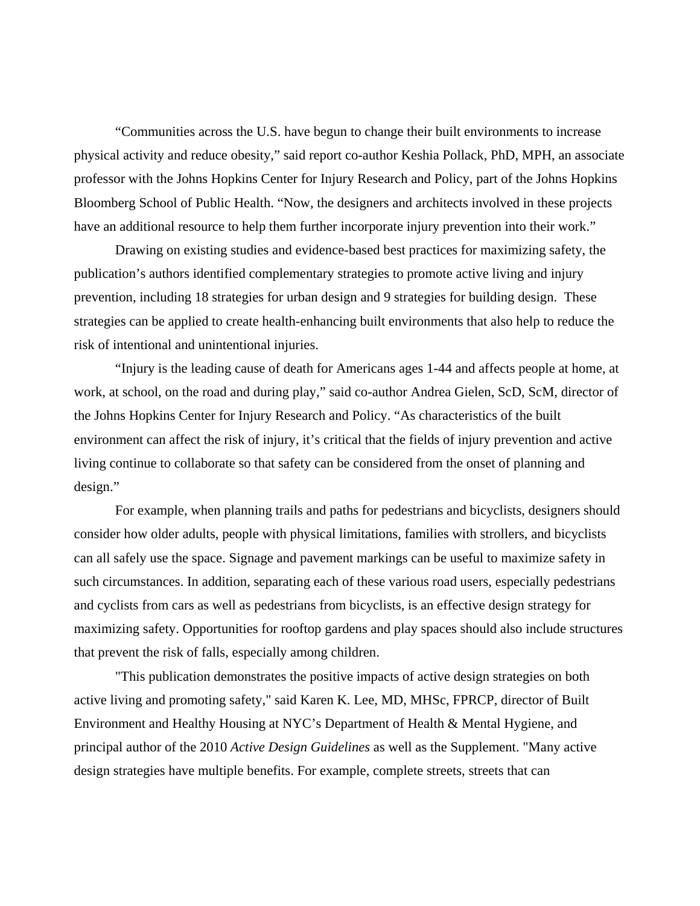"Communities across the U.S. have begun to change their built environments to increase physical activity and reduce obesity," said report co-author Keshia Pollack, PhD, MPH, an associate professor with the Johns Hopkins Center for Injury Research and Policy, part of the Johns Hopkins Bloomberg School of Public Health. "Now, the designers and architects involved in these projects have an additional resource to help them further incorporate injury prevention into their work."

Drawing on existing studies and evidence-based best practices for maximizing safety, the publication's authors identified complementary strategies to promote active living and injury prevention, including 18 strategies for urban design and 9 strategies for building design. These strategies can be applied to create health-enhancing built environments that also help to reduce the risk of intentional and unintentional injuries.

"Injury is the leading cause of death for Americans ages 1-44 and affects people at home, at work, at school, on the road and during play," said co-author Andrea Gielen, ScD, ScM, director of the Johns Hopkins Center for Injury Research and Policy. "As characteristics of the built environment can affect the risk of injury, it's critical that the fields of injury prevention and active living continue to collaborate so that safety can be considered from the onset of planning and design."

For example, when planning trails and paths for pedestrians and bicyclists, designers should consider how older adults, people with physical limitations, families with strollers, and bicyclists can all safely use the space. Signage and pavement markings can be useful to maximize safety in such circumstances. In addition, separating each of these various road users, especially pedestrians and cyclists from cars as well as pedestrians from bicyclists, is an effective design strategy for maximizing safety. Opportunities for rooftop gardens and play spaces should also include structures that prevent the risk of falls, especially among children.

"This publication demonstrates the positive impacts of active design strategies on both active living and promoting safety," said Karen K. Lee, MD, MHSc, FPRCP, director of Built Environment and Healthy Housing at NYC's Department of Health & Mental Hygiene, and principal author of the 2010 *Active Design Guidelines* as well as the Supplement. "Many active design strategies have multiple benefits. For example, complete streets, streets that can